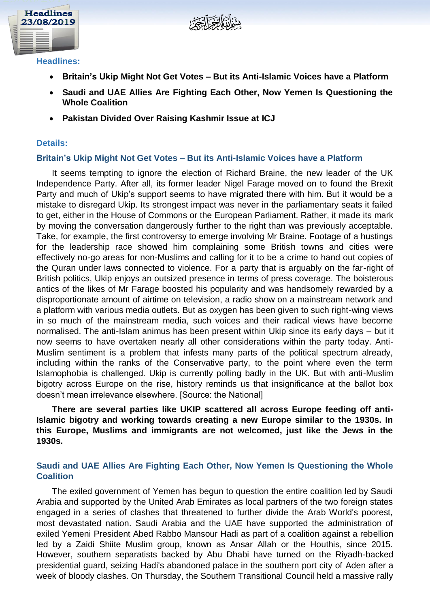



#### **Headlines:**

- **Britain's Ukip Might Not Get Votes – But its Anti-Islamic Voices have a Platform**
- **Saudi and UAE Allies Are Fighting Each Other, Now Yemen Is Questioning the Whole Coalition**
- **Pakistan Divided Over Raising Kashmir Issue at ICJ**

## **Details:**

## **Britain's Ukip Might Not Get Votes – But its Anti-Islamic Voices have a Platform**

It seems tempting to ignore the election of Richard Braine, the new leader of the UK Independence Party. After all, its former leader Nigel Farage moved on to found the Brexit Party and much of Ukip's support seems to have migrated there with him. But it would be a mistake to disregard Ukip. Its strongest impact was never in the parliamentary seats it failed to get, either in the House of Commons or the European Parliament. Rather, it made its mark by moving the conversation dangerously further to the right than was previously acceptable. Take, for example, the first controversy to emerge involving Mr Braine. Footage of a hustings for the leadership race showed him complaining some British towns and cities were effectively no-go areas for non-Muslims and calling for it to be a crime to hand out copies of the Quran under laws connected to violence. For a party that is arguably on the far-right of British politics, Ukip enjoys an outsized presence in terms of press coverage. The boisterous antics of the likes of Mr Farage boosted his popularity and was handsomely rewarded by a disproportionate amount of airtime on television, a radio show on a mainstream network and a platform with various media outlets. But as oxygen has been given to such right-wing views in so much of the mainstream media, such voices and their radical views have become normalised. The anti-Islam animus has been present within Ukip since its early days – but it now seems to have overtaken nearly all other considerations within the party today. Anti-Muslim sentiment is a problem that infests many parts of the political spectrum already, including within the ranks of the Conservative party, to the point where even the term Islamophobia is challenged. Ukip is currently polling badly in the UK. But with anti-Muslim bigotry across Europe on the rise, history reminds us that insignificance at the ballot box doesn't mean irrelevance elsewhere. [Source: the National]

# **There are several parties like UKIP scattered all across Europe feeding off anti-Islamic bigotry and working towards creating a new Europe similar to the 1930s. In this Europe, Muslims and immigrants are not welcomed, just like the Jews in the 1930s.**

# **Saudi and UAE Allies Are Fighting Each Other, Now Yemen Is Questioning the Whole Coalition**

The exiled government of Yemen has begun to question the entire coalition led by Saudi Arabia and supported by the United Arab Emirates as local partners of the two foreign states engaged in a series of clashes that threatened to further divide the Arab World's poorest, most devastated nation. Saudi Arabia and the UAE have supported the administration of exiled Yemeni President Abed Rabbo Mansour Hadi as part of a coalition against a rebellion led by a Zaidi Shiite Muslim group, known as Ansar Allah or the Houthis, since 2015. However, southern separatists backed by Abu Dhabi have turned on the Riyadh-backed presidential guard, seizing Hadi's abandoned palace in the southern port city of Aden after a week of bloody clashes. On Thursday, the Southern Transitional Council held a massive rally